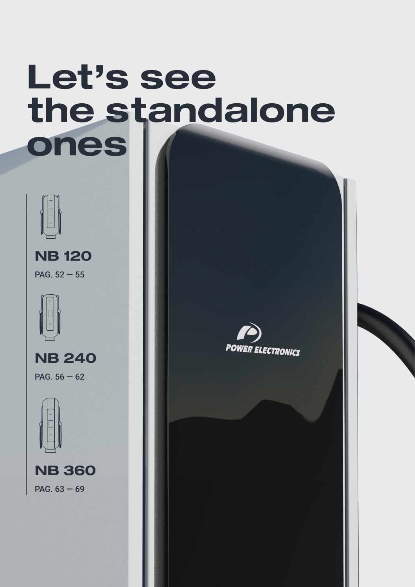# **Let's see the standalone ones**



PAG.  $52 - 55$ **NB 120**



PAG.  $56 - 62$ **NB 240**



PAG. 63 — 69 **NB 360**

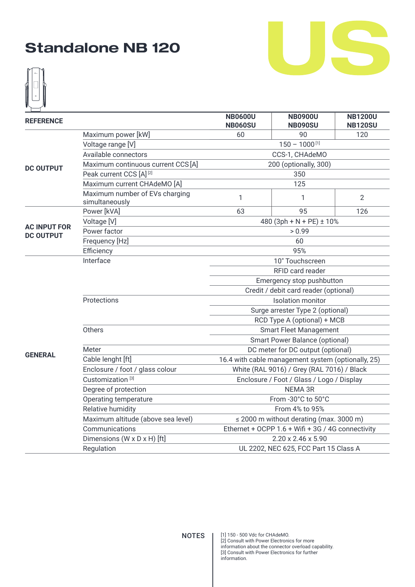



| <b>REFERENCE</b>                        |                                                  | <b>NB0600U</b><br><b>NB060SU</b>      | <b>NB0900U</b><br><b>NB090SU</b>                   | <b>NB1200U</b><br><b>NB120SU</b> |  |  |
|-----------------------------------------|--------------------------------------------------|---------------------------------------|----------------------------------------------------|----------------------------------|--|--|
|                                         | Maximum power [kW]                               | 60                                    | 90                                                 | 120                              |  |  |
|                                         | Voltage range [V]                                |                                       | $150 - 1000$ <sup>[1]</sup>                        |                                  |  |  |
|                                         | Available connectors                             |                                       | CCS-1, CHAdeMO                                     |                                  |  |  |
| <b>DC OUTPUT</b>                        | Maximum continuous current CCS [A]               |                                       | 200 (optionally, 300)                              |                                  |  |  |
|                                         | Peak current CCS [A] <sup>[2]</sup>              |                                       | 350                                                |                                  |  |  |
|                                         | Maximum current CHAdeMO [A]                      |                                       | 125                                                |                                  |  |  |
|                                         | Maximum number of EVs charging<br>simultaneously | 1                                     | 1                                                  | $\overline{2}$                   |  |  |
|                                         | Power [kVA]                                      | 63                                    | 95                                                 | 126                              |  |  |
|                                         | Voltage [V]                                      |                                       | 480 (3ph + N + PE) $\pm$ 10%                       |                                  |  |  |
| <b>AC INPUT FOR</b><br><b>DC OUTPUT</b> | Power factor                                     | > 0.99                                |                                                    |                                  |  |  |
|                                         | Frequency [Hz]                                   | 60                                    |                                                    |                                  |  |  |
|                                         | Efficiency                                       | 95%                                   |                                                    |                                  |  |  |
|                                         | Interface                                        | 10" Touchscreen                       |                                                    |                                  |  |  |
|                                         |                                                  |                                       | RFID card reader                                   |                                  |  |  |
|                                         |                                                  | Emergency stop pushbutton             |                                                    |                                  |  |  |
|                                         |                                                  | Credit / debit card reader (optional) |                                                    |                                  |  |  |
|                                         | Protections                                      |                                       | <b>Isolation monitor</b>                           |                                  |  |  |
|                                         |                                                  |                                       | Surge arrester Type 2 (optional)                   |                                  |  |  |
|                                         |                                                  |                                       | RCD Type A (optional) + MCB                        |                                  |  |  |
|                                         | Others                                           |                                       | <b>Smart Fleet Management</b>                      |                                  |  |  |
|                                         |                                                  |                                       | Smart Power Balance (optional)                     |                                  |  |  |
| <b>GENERAL</b>                          | Meter                                            |                                       | DC meter for DC output (optional)                  |                                  |  |  |
|                                         | Cable lenght [ft]                                |                                       | 16.4 with cable management system (optionally, 25) |                                  |  |  |
|                                         | Enclosure / foot / glass colour                  |                                       | White (RAL 9016) / Grey (RAL 7016) / Black         |                                  |  |  |
|                                         | Customization <sup>[3]</sup>                     |                                       | Enclosure / Foot / Glass / Logo / Display          |                                  |  |  |
|                                         | Degree of protection                             |                                       | <b>NEMA 3R</b>                                     |                                  |  |  |
|                                         | Operating temperature                            |                                       | From -30°C to 50°C                                 |                                  |  |  |
|                                         | Relative humidity                                |                                       | From 4% to 95%                                     |                                  |  |  |
|                                         | Maximum altitude (above sea level)               |                                       | $\leq$ 2000 m without derating (max. 3000 m)       |                                  |  |  |
|                                         | Communications                                   |                                       | Ethernet + OCPP 1.6 + Wifi + 3G / 4G connectivity  |                                  |  |  |
|                                         | Dimensions (W x D x H) [ft]                      |                                       | 2.20 x 2.46 x 5.90                                 |                                  |  |  |
|                                         | Regulation                                       | UL 2202, NEC 625, FCC Part 15 Class A |                                                    |                                  |  |  |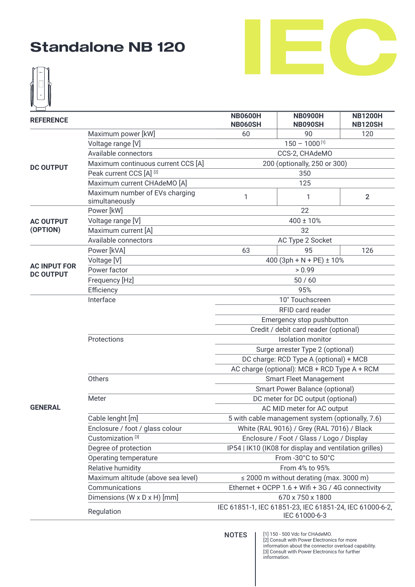



| <b>REFERENCE</b>    |                                    | <b>NB0600H</b><br><b>NB060SH</b>                                         | <b>NB0900H</b><br><b>NB090SH</b>                       | <b>NB1200H</b><br><b>NB120SH</b> |  |  |  |
|---------------------|------------------------------------|--------------------------------------------------------------------------|--------------------------------------------------------|----------------------------------|--|--|--|
|                     | Maximum power [kW]                 | 60                                                                       | 90                                                     | 120                              |  |  |  |
|                     | Voltage range [V]                  |                                                                          | $150 - 1000$ <sup>[1]</sup>                            |                                  |  |  |  |
|                     | Available connectors               |                                                                          | CCS-2, CHAdeMO                                         |                                  |  |  |  |
| <b>DC OUTPUT</b>    | Maximum continuous current CCS [A] |                                                                          | 200 (optionally, 250 or 300)                           |                                  |  |  |  |
|                     | Peak current CCS [A] [2]           |                                                                          | 350                                                    |                                  |  |  |  |
|                     | Maximum current CHAdeMO [A]        |                                                                          | 125                                                    |                                  |  |  |  |
|                     | Maximum number of EVs charging     |                                                                          |                                                        |                                  |  |  |  |
|                     | simultaneously                     | 1                                                                        | 1                                                      | $\overline{2}$                   |  |  |  |
|                     | Power [kW]                         |                                                                          | 22                                                     |                                  |  |  |  |
| <b>AC OUTPUT</b>    | Voltage range [V]                  |                                                                          | $400 \pm 10\%$                                         |                                  |  |  |  |
| (OPTION)            | Maximum current [A]                |                                                                          | 32                                                     |                                  |  |  |  |
|                     | Available connectors               | AC Type 2 Socket                                                         |                                                        |                                  |  |  |  |
|                     | Power [kVA]                        | 63                                                                       | 95                                                     | 126                              |  |  |  |
|                     | Voltage [V]                        |                                                                          | 400 (3ph + N + PE) ± 10%                               |                                  |  |  |  |
| <b>AC INPUT FOR</b> | Power factor                       |                                                                          | > 0.99                                                 |                                  |  |  |  |
| <b>DC OUTPUT</b>    | Frequency [Hz]                     | 50/60                                                                    |                                                        |                                  |  |  |  |
|                     | Efficiency                         |                                                                          | 95%                                                    |                                  |  |  |  |
|                     | Interface                          |                                                                          | 10" Touchscreen                                        |                                  |  |  |  |
|                     |                                    |                                                                          | RFID card reader                                       |                                  |  |  |  |
|                     |                                    |                                                                          | Emergency stop pushbutton                              |                                  |  |  |  |
|                     |                                    |                                                                          | Credit / debit card reader (optional)                  |                                  |  |  |  |
|                     | Protections                        | <b>Isolation</b> monitor                                                 |                                                        |                                  |  |  |  |
|                     |                                    |                                                                          | Surge arrester Type 2 (optional)                       |                                  |  |  |  |
|                     |                                    | DC charge: RCD Type A (optional) + MCB                                   |                                                        |                                  |  |  |  |
|                     |                                    | AC charge (optional): MCB + RCD Type A + RCM                             |                                                        |                                  |  |  |  |
|                     | Others                             |                                                                          | <b>Smart Fleet Management</b>                          |                                  |  |  |  |
|                     |                                    |                                                                          | <b>Smart Power Balance (optional)</b>                  |                                  |  |  |  |
|                     | Meter                              |                                                                          | DC meter for DC output (optional)                      |                                  |  |  |  |
| <b>GENERAL</b>      |                                    |                                                                          | AC MID meter for AC output                             |                                  |  |  |  |
|                     | Cable lenght [m]                   |                                                                          | 5 with cable management system (optionally, 7.6)       |                                  |  |  |  |
|                     | Enclosure / foot / glass colour    |                                                                          | White (RAL 9016) / Grey (RAL 7016) / Black             |                                  |  |  |  |
|                     | Customization <sup>[3]</sup>       |                                                                          | Enclosure / Foot / Glass / Logo / Display              |                                  |  |  |  |
|                     | Degree of protection               |                                                                          | IP54   IK10 (IK08 for display and ventilation grilles) |                                  |  |  |  |
|                     | Operating temperature              |                                                                          | From -30°C to 50°C                                     |                                  |  |  |  |
|                     | Relative humidity                  |                                                                          | From 4% to 95%                                         |                                  |  |  |  |
|                     | Maximum altitude (above sea level) |                                                                          | $\leq$ 2000 m without derating (max. 3000 m)           |                                  |  |  |  |
|                     | Communications                     |                                                                          | Ethernet + OCPP 1.6 + Wifi + 3G / 4G connectivity      |                                  |  |  |  |
|                     | Dimensions (W x D x H) [mm]        |                                                                          | 670 x 750 x 1800                                       |                                  |  |  |  |
|                     | Regulation                         | IEC 61851-1, IEC 61851-23, IEC 61851-24, IEC 61000-6-2,<br>IEC 61000-6-3 |                                                        |                                  |  |  |  |

[1] 150 - 500 Vdc for CHAdeMO. [2] Consult with Power Electronics for more information about the connector overload capability. [3] Consult with Power Electronics for further information.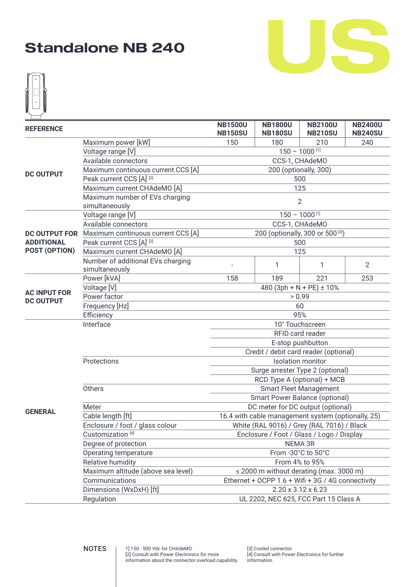



| <b>REFERENCE</b>                        |                                                     | <b>NB1500U</b><br><b>NB1800U</b><br><b>NB2100U</b><br><b>NB2400U</b><br><b>NB150SU</b><br><b>NB180SU</b><br><b>NB210SU</b><br><b>NB240SU</b> |                                              |                                                    |                |  |
|-----------------------------------------|-----------------------------------------------------|----------------------------------------------------------------------------------------------------------------------------------------------|----------------------------------------------|----------------------------------------------------|----------------|--|
|                                         | Maximum power [kW]                                  | 150                                                                                                                                          | 180                                          | 210                                                | 240            |  |
|                                         | Voltage range [V]                                   |                                                                                                                                              |                                              | $150 - 1000$ <sup>[1]</sup>                        |                |  |
|                                         | Available connectors                                |                                                                                                                                              |                                              | CCS-1, CHAdeMO                                     |                |  |
|                                         | Maximum continuous current CCS [A]                  | 200 (optionally, 300)                                                                                                                        |                                              |                                                    |                |  |
| <b>DC OUTPUT</b>                        | Peak current CCS [A] [2]                            |                                                                                                                                              |                                              | 500                                                |                |  |
|                                         | Maximum current CHAdeMO [A]                         |                                                                                                                                              |                                              | 125                                                |                |  |
|                                         | Maximum number of EVs charging<br>simultaneously    |                                                                                                                                              |                                              | $\overline{2}$                                     |                |  |
|                                         | Voltage range [V]                                   |                                                                                                                                              |                                              | $150 - 1000$ [1]                                   |                |  |
|                                         | Available connectors                                |                                                                                                                                              | CCS-1, CHAdeMO                               |                                                    |                |  |
|                                         | DC OUTPUT FOR Maximum continuous current CCS [A]    |                                                                                                                                              | 200 (optionally, 300 or 500 <sup>[3]</sup> ) |                                                    |                |  |
| <b>ADDITIONAL</b>                       | Peak current CCS [A] <sup>[2]</sup>                 |                                                                                                                                              |                                              | 500                                                |                |  |
| POST (OPTION)                           | Maximum current CHAdeMO [A]                         |                                                                                                                                              |                                              | 125                                                |                |  |
|                                         | Number of additional EVs charging<br>simultaneously |                                                                                                                                              | 1                                            | 1                                                  | $\overline{2}$ |  |
|                                         | Power [kVA]                                         | 158                                                                                                                                          | 189                                          | 221                                                | 253            |  |
|                                         | Voltage [V]                                         | 480 (3ph + N + PE) $\pm$ 10%                                                                                                                 |                                              |                                                    |                |  |
| <b>AC INPUT FOR</b><br><b>DC OUTPUT</b> | Power factor                                        |                                                                                                                                              | > 0.99                                       |                                                    |                |  |
|                                         | Frequency [Hz]                                      | 60                                                                                                                                           |                                              |                                                    |                |  |
|                                         | Efficiency                                          | 95%                                                                                                                                          |                                              |                                                    |                |  |
|                                         | Interface                                           | 10" Touchscreen                                                                                                                              |                                              |                                                    |                |  |
|                                         |                                                     | RFID card reader                                                                                                                             |                                              |                                                    |                |  |
|                                         |                                                     |                                                                                                                                              | E-stop pushbutton                            |                                                    |                |  |
|                                         |                                                     |                                                                                                                                              |                                              | Credit / debit card reader (optional)              |                |  |
|                                         | Protections                                         |                                                                                                                                              |                                              | <b>Isolation monitor</b>                           |                |  |
|                                         |                                                     |                                                                                                                                              |                                              | Surge arrester Type 2 (optional)                   |                |  |
|                                         |                                                     |                                                                                                                                              |                                              | RCD Type A (optional) + MCB                        |                |  |
|                                         | Others                                              |                                                                                                                                              |                                              | <b>Smart Fleet Management</b>                      |                |  |
|                                         |                                                     |                                                                                                                                              |                                              | Smart Power Balance (optional)                     |                |  |
| <b>GENERAL</b>                          | Meter                                               |                                                                                                                                              |                                              | DC meter for DC output (optional)                  |                |  |
|                                         | Cable length [ft]                                   |                                                                                                                                              |                                              | 16.4 with cable management system (optionally, 25) |                |  |
|                                         | Enclosure / foot / glass colour                     |                                                                                                                                              |                                              | White (RAL 9016) / Grey (RAL 7016) / Black         |                |  |
|                                         | Customization <sup>[4]</sup>                        |                                                                                                                                              |                                              | Enclosure / Foot / Glass / Logo / Display          |                |  |
|                                         | Degree of protection                                |                                                                                                                                              |                                              | NEMA 3R                                            |                |  |
|                                         | Operating temperature                               |                                                                                                                                              |                                              | From -30°C to 50°C                                 |                |  |
|                                         | Relative humidity                                   |                                                                                                                                              |                                              | From 4% to 95%                                     |                |  |
|                                         | Maximum altitude (above sea level)                  |                                                                                                                                              |                                              | $\leq$ 2000 m without derating (max. 3000 m)       |                |  |
|                                         | Communications                                      |                                                                                                                                              |                                              | Ethernet + OCPP 1.6 + Wifi + 3G / 4G connectivity  |                |  |
|                                         | Dimensions (WxDxH) [ft]<br>Regulation               |                                                                                                                                              |                                              | 2.20 x 3.12 x 6.23                                 |                |  |
|                                         | UL 2202, NEC 625, FCC Part 15 Class A               |                                                                                                                                              |                                              |                                                    |                |  |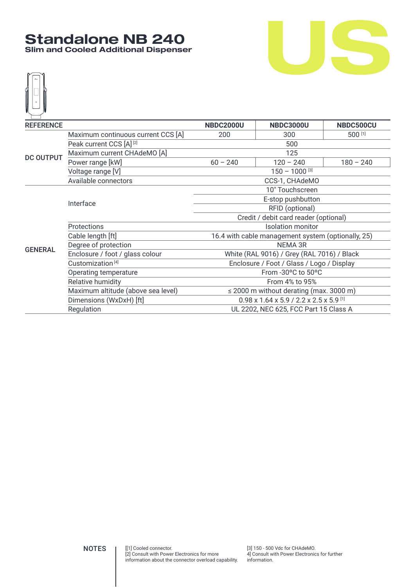### **Standalone NB 240 Slim and Cooled Additional Dispenser**



| <b>REFERENCE</b> |                                     | <b>NBDC2000U</b>                                                         | <b>NBDC3000U</b>                                   | NBDC500CU   |  |  |  |
|------------------|-------------------------------------|--------------------------------------------------------------------------|----------------------------------------------------|-------------|--|--|--|
|                  | Maximum continuous current CCS [A]  | 200                                                                      | 300                                                |             |  |  |  |
|                  | Peak current CCS [A] <sup>[2]</sup> |                                                                          | 500                                                |             |  |  |  |
| <b>DC OUTPUT</b> | Maximum current CHAdeMO [A]         |                                                                          | 125                                                |             |  |  |  |
|                  | Power range [kW]                    | $60 - 240$                                                               | $120 - 240$                                        | $180 - 240$ |  |  |  |
|                  | Voltage range [V]                   |                                                                          | $150 - 1000$ [3]                                   |             |  |  |  |
|                  | Available connectors                | CCS-1, CHAdeMO                                                           |                                                    |             |  |  |  |
|                  |                                     |                                                                          | 10" Touchscreen                                    |             |  |  |  |
|                  | Interface                           | E-stop pushbutton                                                        |                                                    |             |  |  |  |
|                  |                                     | RFID (optional)                                                          |                                                    |             |  |  |  |
|                  |                                     | Credit / debit card reader (optional)                                    |                                                    |             |  |  |  |
|                  | Protections                         |                                                                          | <b>Isolation monitor</b>                           |             |  |  |  |
|                  | Cable length [ft]                   |                                                                          | 16.4 with cable management system (optionally, 25) |             |  |  |  |
| <b>GENERAL</b>   | Degree of protection                |                                                                          | <b>NEMA 3R</b>                                     |             |  |  |  |
|                  | Enclosure / foot / glass colour     |                                                                          | White (RAL 9016) / Grey (RAL 7016) / Black         |             |  |  |  |
|                  | Customization <sup>[4]</sup>        |                                                                          | Enclosure / Foot / Glass / Logo / Display          |             |  |  |  |
|                  | Operating temperature               |                                                                          | From -30°C to 50°C                                 |             |  |  |  |
|                  | Relative humidity                   |                                                                          | From 4% to 95%                                     |             |  |  |  |
|                  | Maximum altitude (above sea level)  |                                                                          | $\leq$ 2000 m without derating (max. 3000 m)       |             |  |  |  |
|                  | Dimensions (WxDxH) [ft]             | $0.98 \times 1.64 \times 5.9 / 2.2 \times 2.5 \times 5.9$ <sup>[1]</sup> |                                                    |             |  |  |  |
|                  | Regulation                          |                                                                          | UL 2202, NEC 625, FCC Part 15 Class A              |             |  |  |  |

S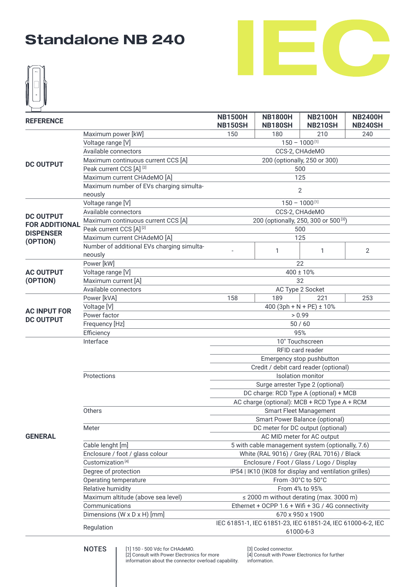

|                       |                                                       | <b>NB1500H</b><br><b>NB1800H</b><br><b>NB2100H</b><br><b>NB2400H</b>     |                |                                                        |                |  |
|-----------------------|-------------------------------------------------------|--------------------------------------------------------------------------|----------------|--------------------------------------------------------|----------------|--|
| <b>REFERENCE</b>      |                                                       | <b>NB150SH</b>                                                           | <b>NB180SH</b> | <b>NB210SH</b>                                         | <b>NB240SH</b> |  |
|                       | Maximum power [kW]                                    | 150                                                                      | 180            | 210                                                    | 240            |  |
|                       | Voltage range [V]                                     | $150 - 1000$ <sup>[1]</sup>                                              |                |                                                        |                |  |
|                       | Available connectors                                  |                                                                          |                | CCS-2, CHAdeMO                                         |                |  |
| <b>DC OUTPUT</b>      | Maximum continuous current CCS [A]                    |                                                                          |                | 200 (optionally, 250 or 300)                           |                |  |
|                       | Peak current CCS [A] [2]                              | 500                                                                      |                |                                                        |                |  |
|                       | Maximum current CHAdeMO [A]                           |                                                                          |                | 125                                                    |                |  |
|                       | Maximum number of EVs charging simulta-               |                                                                          |                | $\mathbf{2}$                                           |                |  |
|                       | neously                                               |                                                                          |                |                                                        |                |  |
|                       | Voltage range [V]                                     |                                                                          |                | $150 - 1000$ <sup>[1]</sup>                            |                |  |
| <b>DC OUTPUT</b>      | Available connectors                                  |                                                                          |                | CCS-2, CHAdeMO                                         |                |  |
| <b>FOR ADDITIONAL</b> | Maximum continuous current CCS [A]                    |                                                                          |                | 200 (optionally, 250, 300 or 500 <sup>[3]</sup> )      |                |  |
| <b>DISPENSER</b>      | Peak current CCS [A] <sup>[2]</sup>                   |                                                                          |                | 500                                                    |                |  |
| (OPTION)              | Maximum current CHAdeMO [A]                           |                                                                          |                | 125                                                    |                |  |
|                       | Number of additional EVs charging simulta-<br>neously |                                                                          | 1              | 1                                                      | $\overline{2}$ |  |
|                       | Power [kW]                                            |                                                                          |                | 22                                                     |                |  |
| <b>AC OUTPUT</b>      | Voltage range [V]                                     |                                                                          |                | 400 ± 10%                                              |                |  |
| (OPTION)              | Maximum current [A]                                   |                                                                          |                | 32                                                     |                |  |
|                       | Available connectors                                  | AC Type 2 Socket                                                         |                |                                                        |                |  |
|                       | Power [kVA]                                           | 158                                                                      | 189            | 221                                                    | 253            |  |
|                       | Voltage [V]                                           | 400 (3ph + N + PE) $\pm$ 10%                                             |                |                                                        |                |  |
| <b>AC INPUT FOR</b>   | Power factor                                          |                                                                          |                | > 0.99                                                 |                |  |
| <b>DC OUTPUT</b>      | Frequency [Hz]                                        | $50/60$                                                                  |                |                                                        |                |  |
|                       | Efficiency                                            | 95%                                                                      |                |                                                        |                |  |
|                       | Interface                                             | 10" Touchscreen                                                          |                |                                                        |                |  |
|                       |                                                       | RFID card reader                                                         |                |                                                        |                |  |
|                       |                                                       |                                                                          |                | Emergency stop pushbutton                              |                |  |
|                       |                                                       |                                                                          |                | Credit / debit card reader (optional)                  |                |  |
|                       | Protections                                           |                                                                          |                | <b>Isolation monitor</b>                               |                |  |
|                       |                                                       |                                                                          |                | Surge arrester Type 2 (optional)                       |                |  |
|                       |                                                       |                                                                          |                | DC charge: RCD Type A (optional) + MCB                 |                |  |
|                       |                                                       |                                                                          |                | AC charge (optional): MCB + RCD Type A + RCM           |                |  |
|                       | Others                                                |                                                                          |                | <b>Smart Fleet Management</b>                          |                |  |
|                       |                                                       |                                                                          |                | Smart Power Balance (optional)                         |                |  |
|                       | Meter                                                 |                                                                          |                | DC meter for DC output (optional)                      |                |  |
| <b>GENERAL</b>        |                                                       |                                                                          |                | AC MID meter for AC output                             |                |  |
|                       | Cable lenght [m]                                      |                                                                          |                | 5 with cable management system (optionally, 7.6)       |                |  |
|                       | Enclosure / foot / glass colour                       |                                                                          |                | White (RAL 9016) / Grey (RAL 7016) / Black             |                |  |
|                       | Customization <sup>[4]</sup>                          |                                                                          |                | Enclosure / Foot / Glass / Logo / Display              |                |  |
|                       | Degree of protection                                  |                                                                          |                | IP54   IK10 (IK08 for display and ventilation grilles) |                |  |
|                       | Operating temperature                                 |                                                                          |                | From -30°C to 50°C                                     |                |  |
|                       | Relative humidity                                     |                                                                          |                | From 4% to 95%                                         |                |  |
|                       | Maximum altitude (above sea level)                    |                                                                          |                | $\leq$ 2000 m without derating (max. 3000 m)           |                |  |
|                       | Communications                                        |                                                                          |                | Ethernet + OCPP 1.6 + Wifi + 3G / 4G connectivity      |                |  |
|                       | Dimensions (W x D x H) [mm]                           |                                                                          |                | 670 x 950 x 1900                                       |                |  |
|                       |                                                       |                                                                          |                |                                                        |                |  |
|                       | Regulation                                            | IEC 61851-1, IEC 61851-23, IEC 61851-24, IEC 61000-6-2, IEC<br>61000-6-3 |                |                                                        |                |  |

[1] 150 - 500 Vdc for CHAdeMO. [2] Consult with Power Electronics for more information about the connector overload capability. NOTES | [1] 150 - 500 Vdc for CHAdeMO. [3] Cooled connector.

[3] Cooled connector.<br>[4] Consult with Power Electronics for further information.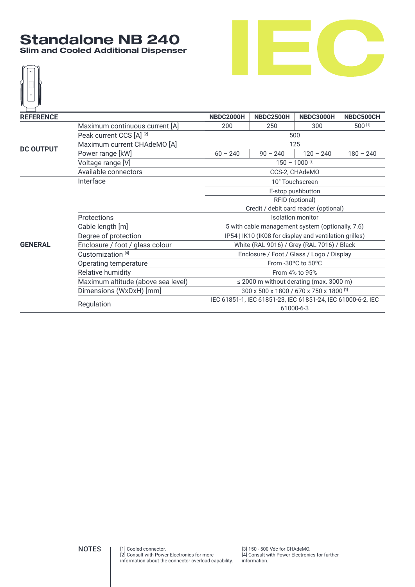#### **Standalone NB 240 Slim and Cooled Additional Dispenser**





| <b>REFERENCE</b> |                                     | <b>NBDC2000H</b>                                            | <b>NBDC2500H</b>                                       | <b>NBDC3000H</b>   | NBDC500CH   |  |  |  |
|------------------|-------------------------------------|-------------------------------------------------------------|--------------------------------------------------------|--------------------|-------------|--|--|--|
|                  |                                     |                                                             |                                                        |                    |             |  |  |  |
|                  | Maximum continuous current [A]      | 200                                                         | 250                                                    | 300                | 500 [1]     |  |  |  |
|                  | Peak current CCS [A] <sup>[2]</sup> |                                                             |                                                        | 500                |             |  |  |  |
| <b>DC OUTPUT</b> | Maximum current CHAdeMO [A]         | 125                                                         |                                                        |                    |             |  |  |  |
|                  | Power range [kW]                    | $60 - 240$                                                  | $90 - 240$                                             | $120 - 240$        | $180 - 240$ |  |  |  |
|                  | Voltage range [V]                   |                                                             |                                                        | $150 - 1000$ [3]   |             |  |  |  |
|                  | Available connectors                |                                                             | CCS-2, CHAdeMO                                         |                    |             |  |  |  |
|                  | Interface                           |                                                             |                                                        | 10" Touchscreen    |             |  |  |  |
|                  |                                     | E-stop pushbutton                                           |                                                        |                    |             |  |  |  |
|                  |                                     | RFID (optional)                                             |                                                        |                    |             |  |  |  |
|                  |                                     | Credit / debit card reader (optional)                       |                                                        |                    |             |  |  |  |
|                  | Protections                         |                                                             | <b>Isolation monitor</b>                               |                    |             |  |  |  |
|                  | Cable length [m]                    |                                                             | 5 with cable management system (optionally, 7.6)       |                    |             |  |  |  |
|                  | Degree of protection                |                                                             | IP54   IK10 (IK08 for display and ventilation grilles) |                    |             |  |  |  |
| <b>GENERAL</b>   | Enclosure / foot / glass colour     |                                                             | White (RAL 9016) / Grey (RAL 7016) / Black             |                    |             |  |  |  |
|                  | Customization <sup>[4]</sup>        |                                                             | Enclosure / Foot / Glass / Logo / Display              |                    |             |  |  |  |
|                  | Operating temperature               |                                                             |                                                        | From -30°C to 50°C |             |  |  |  |
|                  | Relative humidity                   |                                                             |                                                        | From 4% to 95%     |             |  |  |  |
|                  | Maximum altitude (above sea level)  |                                                             | $\leq$ 2000 m without derating (max. 3000 m)           |                    |             |  |  |  |
|                  | Dimensions (WxDxH) [mm]             |                                                             | 300 x 500 x 1800 / 670 x 750 x 1800 [1]                |                    |             |  |  |  |
|                  |                                     | IEC 61851-1, IEC 61851-23, IEC 61851-24, IEC 61000-6-2, IEC |                                                        |                    |             |  |  |  |
|                  | Regulation                          |                                                             | 61000-6-3                                              |                    |             |  |  |  |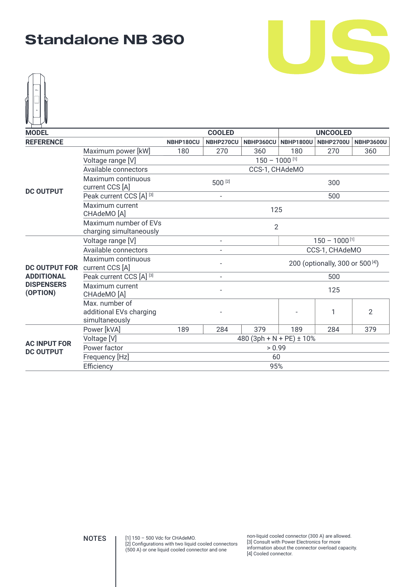



| <b>MODEL</b>                            |                                                             |                                                         | <b>COOLED</b><br><b>UNCOOLED</b>             |                              |                  |                  |                  |
|-----------------------------------------|-------------------------------------------------------------|---------------------------------------------------------|----------------------------------------------|------------------------------|------------------|------------------|------------------|
| <b>REFERENCE</b>                        |                                                             | NBHP180CU                                               | NBHP270CU                                    | NBHP360CU                    | <b>NBHP1800U</b> | <b>NBHP2700U</b> | <b>NBHP3600U</b> |
|                                         | Maximum power [kW]                                          | 180                                                     | 270                                          | 360                          | 180              | 270              | 360              |
|                                         | Voltage range [V]                                           |                                                         |                                              | $150 - 1000$ [1]             |                  |                  |                  |
|                                         | Available connectors                                        |                                                         |                                              | CCS-1, CHAdeMO               |                  |                  |                  |
| <b>DC OUTPUT</b>                        | Maximum continuous<br>current CCS [A]                       |                                                         | 500 [2]                                      |                              |                  | 300              |                  |
|                                         | Peak current CCS [A] [3]                                    | 500<br>$\overline{\phantom{a}}$                         |                                              |                              |                  |                  |                  |
|                                         | Maximum current<br>CHAdeMO <sup>[A]</sup>                   |                                                         | 125                                          |                              |                  |                  |                  |
|                                         | Maximum number of EVs<br>charging simultaneously            |                                                         | $\overline{2}$                               |                              |                  |                  |                  |
|                                         | Voltage range [V]                                           | $150 - 1000$ <sup>[1]</sup><br>$\overline{\phantom{a}}$ |                                              |                              |                  |                  |                  |
|                                         | Available connectors                                        | CCS-1, CHAdeMO                                          |                                              |                              |                  |                  |                  |
| <b>DC OUTPUT FOR</b>                    | Maximum continuous<br>current CCS [A]                       |                                                         | 200 (optionally, 300 or 500 <sup>[4]</sup> ) |                              |                  |                  |                  |
| <b>ADDITIONAL</b>                       | Peak current CCS [A] [3]                                    |                                                         | $\overline{\phantom{a}}$                     |                              |                  | 500              |                  |
| <b>DISPENSERS</b><br>(OPTION)           | Maximum current<br>CHAdeMO [A]                              |                                                         |                                              |                              |                  | 125              |                  |
|                                         | Max. number of<br>additional EVs charging<br>simultaneously |                                                         |                                              |                              |                  | 1                | $\overline{2}$   |
|                                         | Power [kVA]                                                 | 189                                                     | 284                                          | 379                          | 189              | 284              | 379              |
|                                         | Voltage [V]                                                 |                                                         |                                              | 480 (3ph + N + PE) $\pm$ 10% |                  |                  |                  |
| <b>AC INPUT FOR</b><br><b>DC OUTPUT</b> | Power factor                                                |                                                         |                                              | > 0.99                       |                  |                  |                  |
|                                         | Frequency [Hz]                                              |                                                         |                                              | 60                           |                  |                  |                  |
|                                         | Efficiency                                                  |                                                         |                                              | 95%                          |                  |                  |                  |

[1] 150 – 500 Vdc for CHAdeMO. (500 A) or one liquid cooled connector and one

NOTES [1] 150 - 500 Vdc for CHAdeMO.<br>
[2] Configurations with two liquid cooled connectors [3] Consult with Power Electronics for more [3] Consult with Power Electronics for more information about the connector overload capacity. [4] Cooled connector.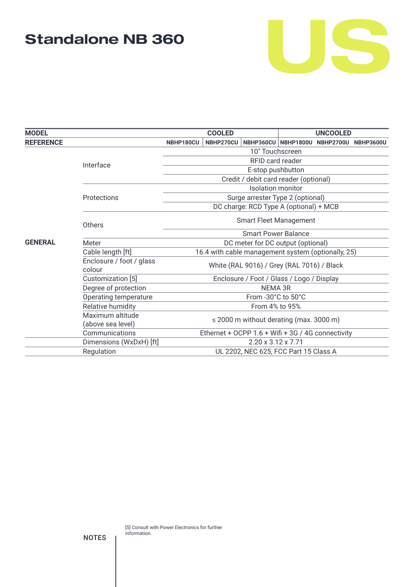

| <b>MODEL</b>     |                                    | <b>COOLED</b>                                      | <b>UNCOOLED</b>                              |  |                                         |  |  |  |
|------------------|------------------------------------|----------------------------------------------------|----------------------------------------------|--|-----------------------------------------|--|--|--|
| <b>REFERENCE</b> |                                    | NBHP270CU<br>NBHP180CU                             |                                              |  | NBHP360CU NBHP1800U NBHP2700U NBHP3600U |  |  |  |
|                  |                                    | 10" Touchscreen                                    |                                              |  |                                         |  |  |  |
|                  | Interface                          |                                                    | RFID card reader                             |  |                                         |  |  |  |
|                  |                                    | E-stop pushbutton                                  |                                              |  |                                         |  |  |  |
|                  |                                    |                                                    | Credit / debit card reader (optional)        |  |                                         |  |  |  |
|                  |                                    |                                                    | <b>Isolation monitor</b>                     |  |                                         |  |  |  |
|                  | Protections                        |                                                    | Surge arrester Type 2 (optional)             |  |                                         |  |  |  |
|                  |                                    | DC charge: RCD Type A (optional) + MCB             |                                              |  |                                         |  |  |  |
|                  | Others                             | <b>Smart Fleet Management</b>                      |                                              |  |                                         |  |  |  |
|                  |                                    | <b>Smart Power Balance</b>                         |                                              |  |                                         |  |  |  |
| <b>GENERAL</b>   | Meter                              |                                                    | DC meter for DC output (optional)            |  |                                         |  |  |  |
|                  | Cable length [ft]                  | 16.4 with cable management system (optionally, 25) |                                              |  |                                         |  |  |  |
|                  | Enclosure / foot / glass<br>colour |                                                    | White (RAL 9016) / Grey (RAL 7016) / Black   |  |                                         |  |  |  |
|                  | Customization [5]                  |                                                    | Enclosure / Foot / Glass / Logo / Display    |  |                                         |  |  |  |
|                  | Degree of protection               |                                                    | NEMA 3R                                      |  |                                         |  |  |  |
|                  | Operating temperature              |                                                    | From -30°C to 50°C                           |  |                                         |  |  |  |
|                  | Relative humidity                  |                                                    | From 4% to 95%                               |  |                                         |  |  |  |
|                  | Maximum altitude                   |                                                    | $\leq$ 2000 m without derating (max. 3000 m) |  |                                         |  |  |  |
|                  | (above sea level)                  |                                                    |                                              |  |                                         |  |  |  |
|                  | Communications                     | Ethernet + OCPP 1.6 + Wifi + 3G / 4G connectivity  |                                              |  |                                         |  |  |  |
|                  | Dimensions (WxDxH) [ft]            |                                                    | $2.20 \times 3.12 \times 7.71$               |  |                                         |  |  |  |
|                  | Regulation                         |                                                    | UL 2202, NEC 625, FCC Part 15 Class A        |  |                                         |  |  |  |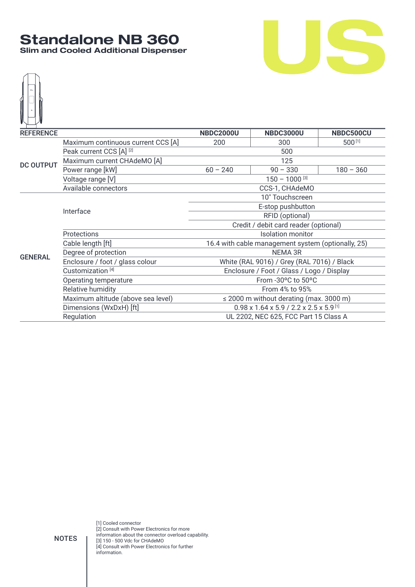#### **Standalone NB 360 Slim and Cooled Additional Dispenser**





| <b>REFERENCE</b> |                                    | <b>NBDC2000U</b>                      | <b>NBDC3000U</b>                                                | NBDC500CU   |  |  |
|------------------|------------------------------------|---------------------------------------|-----------------------------------------------------------------|-------------|--|--|
|                  | Maximum continuous current CCS [A] | 200                                   | 500[1]<br>300                                                   |             |  |  |
|                  | Peak current CCS [A] [2]           |                                       | 500                                                             |             |  |  |
| <b>DC OUTPUT</b> | Maximum current CHAdeMO [A]        | 125                                   |                                                                 |             |  |  |
|                  | Power range [kW]                   | $60 - 240$                            | $90 - 330$                                                      | $180 - 360$ |  |  |
|                  | Voltage range [V]                  |                                       | $150 - 1000$ [3]                                                |             |  |  |
|                  | Available connectors               |                                       | CCS-1, CHAdeMO                                                  |             |  |  |
|                  |                                    |                                       | 10" Touchscreen                                                 |             |  |  |
|                  | Interface                          |                                       | E-stop pushbutton                                               |             |  |  |
|                  |                                    | RFID (optional)                       |                                                                 |             |  |  |
|                  |                                    | Credit / debit card reader (optional) |                                                                 |             |  |  |
|                  | Protections                        | <b>Isolation monitor</b>              |                                                                 |             |  |  |
|                  | Cable length [ft]                  |                                       | 16.4 with cable management system (optionally, 25)              |             |  |  |
| <b>GENERAL</b>   | Degree of protection               |                                       | NEMA 3R                                                         |             |  |  |
|                  | Enclosure / foot / glass colour    |                                       | White (RAL 9016) / Grey (RAL 7016) / Black                      |             |  |  |
|                  | Customization <sup>[4]</sup>       |                                       | Enclosure / Foot / Glass / Logo / Display                       |             |  |  |
|                  | Operating temperature              |                                       | From -30°C to 50°C                                              |             |  |  |
|                  | Relative humidity                  |                                       | From 4% to 95%                                                  |             |  |  |
|                  | Maximum altitude (above sea level) |                                       | $\leq$ 2000 m without derating (max. 3000 m)                    |             |  |  |
|                  | Dimensions (WxDxH) [ft]            |                                       | $0.98 \times 1.64 \times 5.9 / 2.2 \times 2.5 \times 5.9^{[1]}$ |             |  |  |
|                  | Regulation                         | UL 2202, NEC 625, FCC Part 15 Class A |                                                                 |             |  |  |

[1] Cooled connector [2] Consult with Power Electronics for more information about the connector overload capability. [3] 150 - 500 Vdc for CHAdeMO [4] Consult with Power Electronics for further information.

NOTES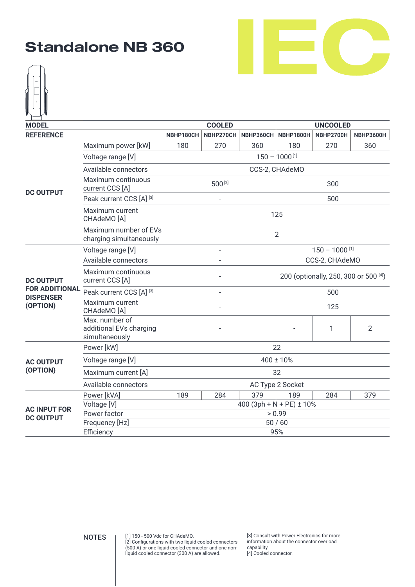



| <b>MODEL</b>                 |                                                             | <b>COOLED</b><br><b>UNCOOLED</b>      |                  |                              |                  |                  |                |  |  |  |
|------------------------------|-------------------------------------------------------------|---------------------------------------|------------------|------------------------------|------------------|------------------|----------------|--|--|--|
| <b>REFERENCE</b>             |                                                             | NBHP180CH                             | NBHP270CH        | NBHP360CH                    | <b>NBHP1800H</b> | <b>NBHP2700H</b> | NBHP3600H      |  |  |  |
|                              | Maximum power [kW]                                          | 180                                   | 270              | 360                          | 180              | 270              | 360            |  |  |  |
|                              | Voltage range [V]                                           |                                       | $150 - 1000$ [1] |                              |                  |                  |                |  |  |  |
|                              | Available connectors                                        |                                       |                  |                              | CCS-2, CHAdeMO   |                  |                |  |  |  |
| <b>DC OUTPUT</b>             | Maximum continuous<br>current CCS [A]                       |                                       | 500 [2]          |                              |                  | 300              |                |  |  |  |
|                              | Peak current CCS [A] [3]                                    |                                       |                  |                              |                  | 500              |                |  |  |  |
|                              | Maximum current<br>CHAdeMO [A]                              |                                       |                  |                              | 125              |                  |                |  |  |  |
|                              | Maximum number of EVs<br>charging simultaneously            |                                       | $\overline{2}$   |                              |                  |                  |                |  |  |  |
|                              | Voltage range [V]                                           |                                       |                  |                              |                  | $150 - 1000$ [1] |                |  |  |  |
|                              | Available connectors                                        |                                       |                  |                              |                  | CCS-2, CHAdeMO   |                |  |  |  |
| <b>DC OUTPUT</b>             | Maximum continuous<br>current CCS [A]                       | 200 (optionally, 250, 300 or 500 [4]) |                  |                              |                  |                  |                |  |  |  |
| <b>FOR ADDITIONAL</b>        | Peak current CCS [A] [3]                                    |                                       |                  |                              |                  | 500              |                |  |  |  |
| <b>DISPENSER</b><br>(OPTION) | Maximum current<br>CHAdeMO [A]                              |                                       |                  |                              |                  | 125              |                |  |  |  |
|                              | Max. number of<br>additional EVs charging<br>simultaneously |                                       |                  |                              |                  | 1                | $\overline{2}$ |  |  |  |
|                              | Power [kW]                                                  |                                       |                  |                              | 22               |                  |                |  |  |  |
| <b>AC OUTPUT</b>             | Voltage range [V]                                           |                                       |                  |                              | $400 \pm 10\%$   |                  |                |  |  |  |
| (OPTION)                     | Maximum current [A]                                         |                                       |                  |                              | 32               |                  |                |  |  |  |
|                              | Available connectors                                        |                                       |                  |                              | AC Type 2 Socket |                  |                |  |  |  |
|                              | Power [kVA]                                                 | 189                                   | 284              | 379                          | 189              | 284              | 379            |  |  |  |
| <b>AC INPUT FOR</b>          | Voltage [V]                                                 |                                       |                  | 400 (3ph + N + PE) $\pm$ 10% |                  |                  |                |  |  |  |
| <b>DC OUTPUT</b>             | Power factor                                                |                                       |                  |                              | > 0.99           |                  |                |  |  |  |
|                              | Frequency [Hz]                                              |                                       |                  |                              | 50/60            |                  |                |  |  |  |
|                              | Efficiency                                                  |                                       |                  |                              | 95%              |                  |                |  |  |  |

[1] 150 - 500 Vdc for CHAdeMO. [2] Configurations with two liquid cooled connectors (500 A) or one liquid cooled connector and one nonliquid cooled connector (300 A) are allowed.  $\text{NOTES}$   $[3]$  Consult with Power Electronics for more<br> $[3]$  Consult with Power Electronics for more

information about the connector overload capability. [4] Cooled connector.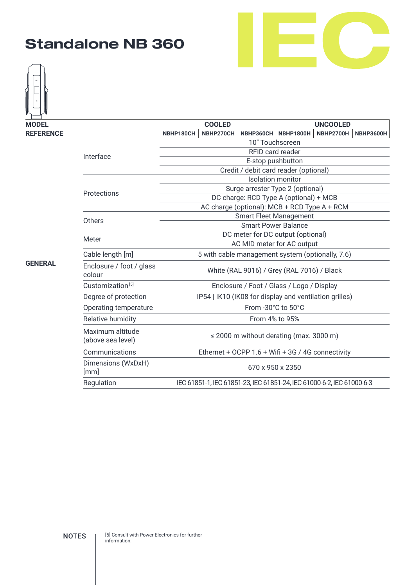



| <b>MODEL</b>     |                                       |                                                  | <b>COOLED</b>                                                         |                                                   | <b>UNCOOLED</b>                              |                  |  |  |
|------------------|---------------------------------------|--------------------------------------------------|-----------------------------------------------------------------------|---------------------------------------------------|----------------------------------------------|------------------|--|--|
| <b>REFERENCE</b> |                                       | NBHP180CH                                        | NBHP270CH                                                             | <b>NBHP1800H</b><br><b>NBHP2700H</b><br>NBHP360CH |                                              | <b>NBHP3600H</b> |  |  |
|                  |                                       | 10" Touchscreen                                  |                                                                       |                                                   |                                              |                  |  |  |
|                  | Interface                             | <b>RFID card reader</b>                          |                                                                       |                                                   |                                              |                  |  |  |
| <b>GENERAL</b>   |                                       |                                                  |                                                                       | E-stop pushbutton                                 |                                              |                  |  |  |
|                  |                                       | Credit / debit card reader (optional)            |                                                                       |                                                   |                                              |                  |  |  |
|                  |                                       | <b>Isolation monitor</b>                         |                                                                       |                                                   |                                              |                  |  |  |
|                  | Protections                           |                                                  |                                                                       |                                                   | Surge arrester Type 2 (optional)             |                  |  |  |
|                  |                                       |                                                  |                                                                       |                                                   | DC charge: RCD Type A (optional) + MCB       |                  |  |  |
|                  |                                       | AC charge (optional): MCB + RCD Type A + RCM     |                                                                       |                                                   |                                              |                  |  |  |
|                  | Others                                |                                                  |                                                                       |                                                   | <b>Smart Fleet Management</b>                |                  |  |  |
|                  |                                       | <b>Smart Power Balance</b>                       |                                                                       |                                                   |                                              |                  |  |  |
|                  | Meter                                 | DC meter for DC output (optional)                |                                                                       |                                                   |                                              |                  |  |  |
|                  |                                       | AC MID meter for AC output                       |                                                                       |                                                   |                                              |                  |  |  |
|                  | Cable length [m]                      | 5 with cable management system (optionally, 7.6) |                                                                       |                                                   |                                              |                  |  |  |
|                  | Enclosure / foot / glass<br>colour    |                                                  |                                                                       |                                                   | White (RAL 9016) / Grey (RAL 7016) / Black   |                  |  |  |
|                  | Customization <sup>[5]</sup>          |                                                  |                                                                       |                                                   | Enclosure / Foot / Glass / Logo / Display    |                  |  |  |
|                  | Degree of protection                  |                                                  | IP54   IK10 (IK08 for display and ventilation grilles)                |                                                   |                                              |                  |  |  |
|                  | Operating temperature                 |                                                  |                                                                       | From -30°C to 50°C                                |                                              |                  |  |  |
|                  | Relative humidity                     |                                                  |                                                                       | From 4% to 95%                                    |                                              |                  |  |  |
|                  | Maximum altitude<br>(above sea level) |                                                  |                                                                       |                                                   | $\leq$ 2000 m without derating (max. 3000 m) |                  |  |  |
|                  | Communications                        |                                                  | Ethernet + OCPP 1.6 + Wifi + 3G / 4G connectivity                     |                                                   |                                              |                  |  |  |
|                  | Dimensions (WxDxH)<br>[mm]            |                                                  |                                                                       | 670 x 950 x 2350                                  |                                              |                  |  |  |
|                  | Regulation                            |                                                  | IEC 61851-1, IEC 61851-23, IEC 61851-24, IEC 61000-6-2, IEC 61000-6-3 |                                                   |                                              |                  |  |  |